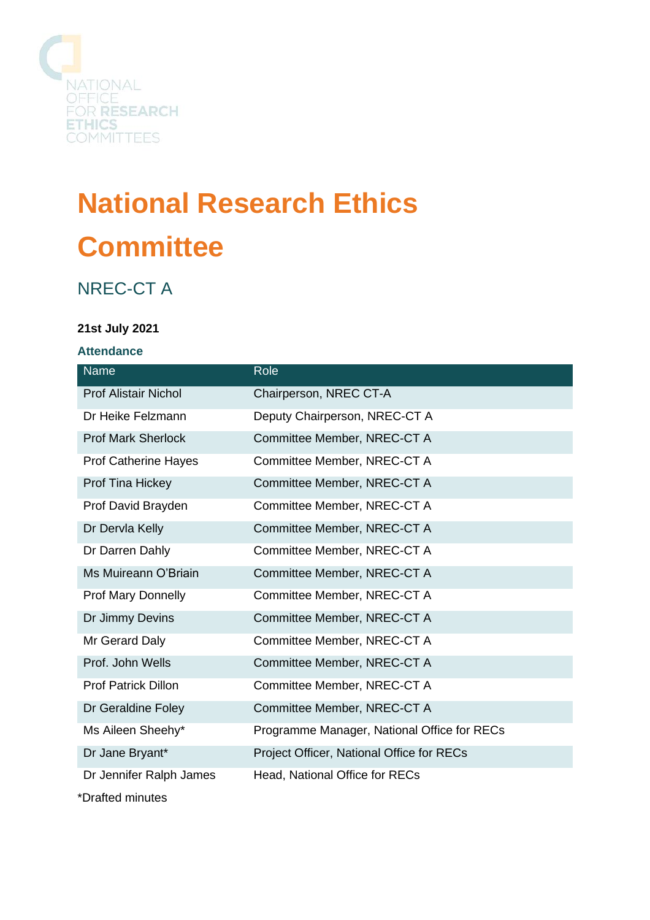

# **National Research Ethics Committee**

# NREC-CT A

## **21st July 2021**

#### **Attendance**

| <b>Name</b>                              | Role                                        |
|------------------------------------------|---------------------------------------------|
| <b>Prof Alistair Nichol</b>              | Chairperson, NREC CT-A                      |
| Dr Heike Felzmann                        | Deputy Chairperson, NREC-CT A               |
| <b>Prof Mark Sherlock</b>                | Committee Member, NREC-CT A                 |
| <b>Prof Catherine Hayes</b>              | Committee Member, NREC-CT A                 |
| Prof Tina Hickey                         | Committee Member, NREC-CT A                 |
| Prof David Brayden                       | Committee Member, NREC-CT A                 |
| Dr Dervla Kelly                          | Committee Member, NREC-CT A                 |
| Dr Darren Dahly                          | Committee Member, NREC-CT A                 |
| Ms Muireann O'Briain                     | Committee Member, NREC-CT A                 |
| <b>Prof Mary Donnelly</b>                | Committee Member, NREC-CT A                 |
| Dr Jimmy Devins                          | Committee Member, NREC-CT A                 |
| Mr Gerard Daly                           | Committee Member, NREC-CT A                 |
| Prof. John Wells                         | Committee Member, NREC-CT A                 |
| <b>Prof Patrick Dillon</b>               | Committee Member, NREC-CT A                 |
| Dr Geraldine Foley                       | Committee Member, NREC-CT A                 |
| Ms Aileen Sheehy*                        | Programme Manager, National Office for RECs |
| Dr Jane Bryant*                          | Project Officer, National Office for RECs   |
| Dr Jennifer Ralph James                  | Head, National Office for RECs              |
| $*$ Denotes the set of the set of $\sim$ |                                             |

\*Drafted minutes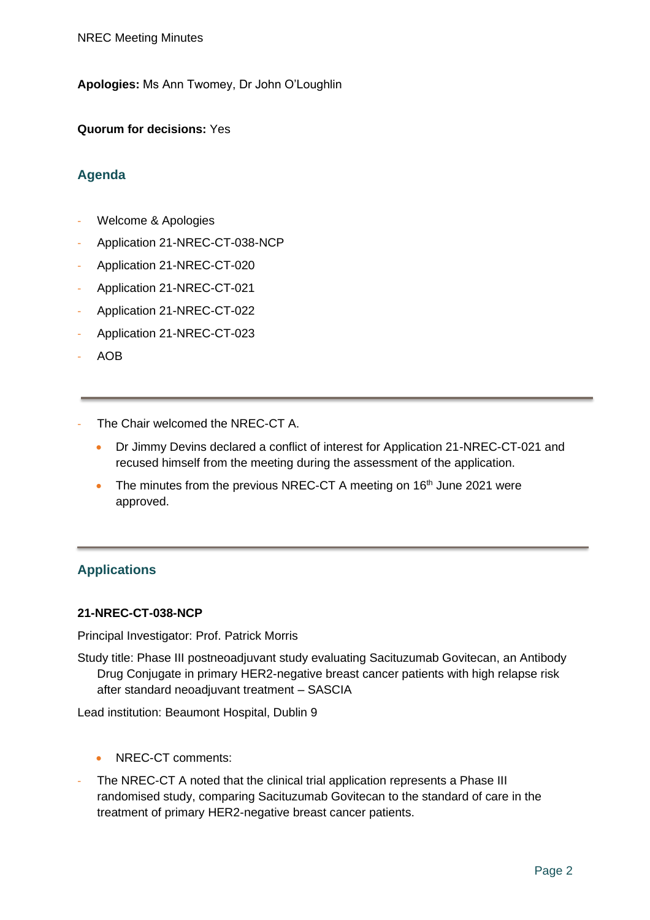**Apologies:** Ms Ann Twomey, Dr John O'Loughlin

**Quorum for decisions:** Yes

# **Agenda**

- Welcome & Apologies
- Application 21-NREC-CT-038-NCP
- Application 21-NREC-CT-020
- Application 21-NREC-CT-021
- Application 21-NREC-CT-022
- Application 21-NREC-CT-023
- AOB
- The Chair welcomed the NREC-CT A.
	- Dr Jimmy Devins declared a conflict of interest for Application 21-NREC-CT-021 and recused himself from the meeting during the assessment of the application.
	- The minutes from the previous NREC-CT A meeting on  $16<sup>th</sup>$  June 2021 were approved.

# **Applications**

#### **21-NREC-CT-038-NCP**

Principal Investigator: Prof. Patrick Morris

Study title: Phase III postneoadjuvant study evaluating Sacituzumab Govitecan, an Antibody Drug Conjugate in primary HER2-negative breast cancer patients with high relapse risk after standard neoadjuvant treatment – SASCIA

Lead institution: Beaumont Hospital, Dublin 9

- NREC-CT comments:
- The NREC-CT A noted that the clinical trial application represents a Phase III randomised study, comparing Sacituzumab Govitecan to the standard of care in the treatment of primary HER2-negative breast cancer patients.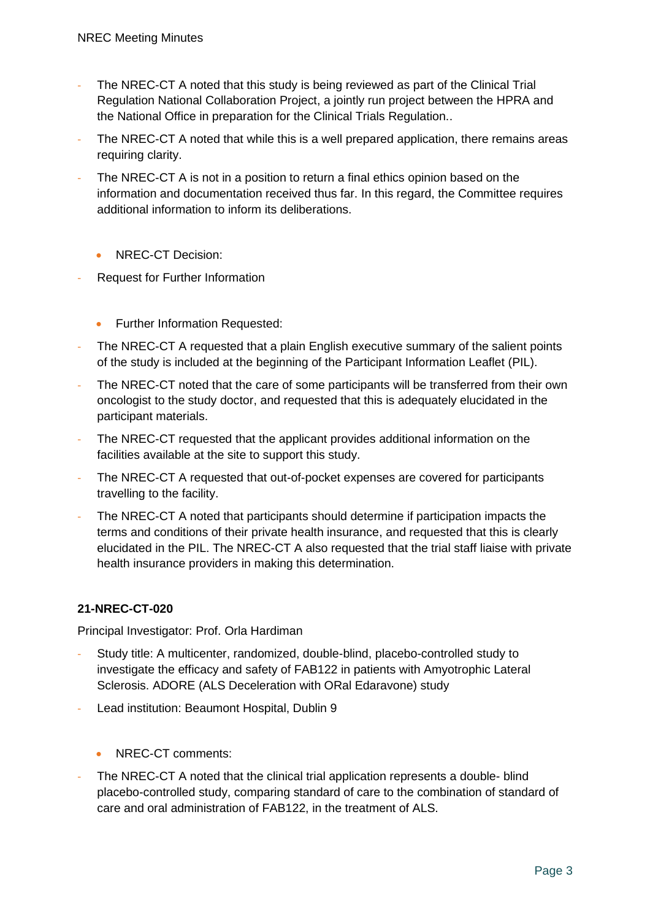- The NREC-CT A noted that this study is being reviewed as part of the Clinical Trial Regulation National Collaboration Project, a jointly run project between the HPRA and the National Office in preparation for the Clinical Trials Regulation..
- The NREC-CT A noted that while this is a well prepared application, there remains areas requiring clarity.
- The NREC-CT A is not in a position to return a final ethics opinion based on the information and documentation received thus far. In this regard, the Committee requires additional information to inform its deliberations.
	- NREC-CT Decision:
- Request for Further Information
	- Further Information Requested:
- The NREC-CT A requested that a plain English executive summary of the salient points of the study is included at the beginning of the Participant Information Leaflet (PIL).
- The NREC-CT noted that the care of some participants will be transferred from their own oncologist to the study doctor, and requested that this is adequately elucidated in the participant materials.
- The NREC-CT requested that the applicant provides additional information on the facilities available at the site to support this study.
- The NREC-CT A requested that out-of-pocket expenses are covered for participants travelling to the facility.
- The NREC-CT A noted that participants should determine if participation impacts the terms and conditions of their private health insurance, and requested that this is clearly elucidated in the PIL. The NREC-CT A also requested that the trial staff liaise with private health insurance providers in making this determination.

Principal Investigator: Prof. Orla Hardiman

- Study title: A multicenter, randomized, double-blind, placebo-controlled study to investigate the efficacy and safety of FAB122 in patients with Amyotrophic Lateral Sclerosis. ADORE (ALS Deceleration with ORal Edaravone) study
- Lead institution: Beaumont Hospital, Dublin 9
	- NREC-CT comments:
- The NREC-CT A noted that the clinical trial application represents a double- blind placebo-controlled study, comparing standard of care to the combination of standard of care and oral administration of FAB122, in the treatment of ALS.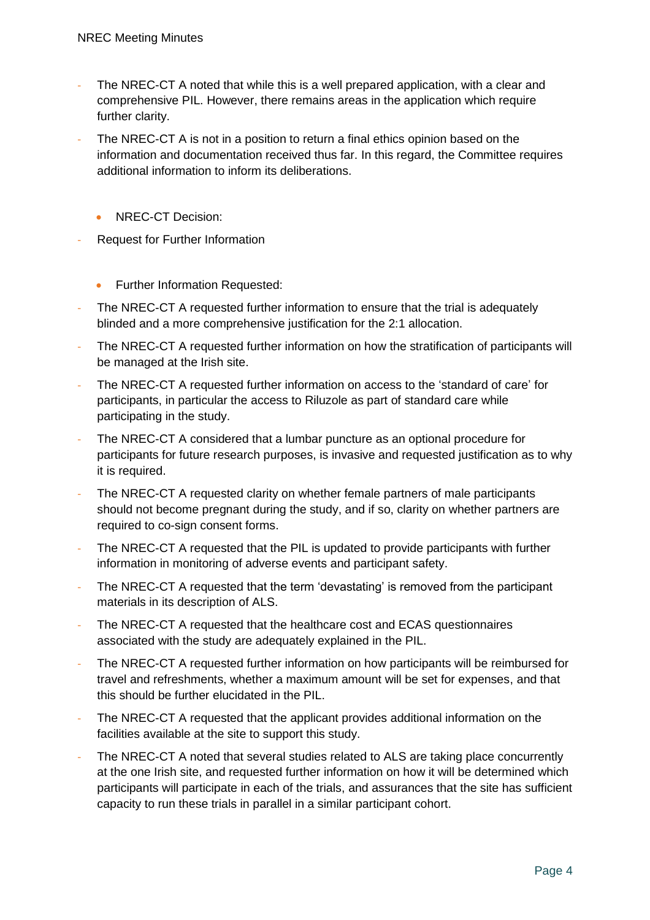- The NREC-CT A noted that while this is a well prepared application, with a clear and comprehensive PIL. However, there remains areas in the application which require further clarity.
- The NREC-CT A is not in a position to return a final ethics opinion based on the information and documentation received thus far. In this regard, the Committee requires additional information to inform its deliberations.
	- NREC-CT Decision:
- Request for Further Information
	- Further Information Requested:
- The NREC-CT A requested further information to ensure that the trial is adequately blinded and a more comprehensive justification for the 2:1 allocation.
- The NREC-CT A requested further information on how the stratification of participants will be managed at the Irish site.
- The NREC-CT A requested further information on access to the 'standard of care' for participants, in particular the access to Riluzole as part of standard care while participating in the study.
- The NREC-CT A considered that a lumbar puncture as an optional procedure for participants for future research purposes, is invasive and requested justification as to why it is required.
- The NREC-CT A requested clarity on whether female partners of male participants should not become pregnant during the study, and if so, clarity on whether partners are required to co-sign consent forms.
- The NREC-CT A requested that the PIL is updated to provide participants with further information in monitoring of adverse events and participant safety.
- The NREC-CT A requested that the term 'devastating' is removed from the participant materials in its description of ALS.
- The NREC-CT A requested that the healthcare cost and ECAS questionnaires associated with the study are adequately explained in the PIL.
- The NREC-CT A requested further information on how participants will be reimbursed for travel and refreshments, whether a maximum amount will be set for expenses, and that this should be further elucidated in the PIL.
- The NREC-CT A requested that the applicant provides additional information on the facilities available at the site to support this study.
- The NREC-CT A noted that several studies related to ALS are taking place concurrently at the one Irish site, and requested further information on how it will be determined which participants will participate in each of the trials, and assurances that the site has sufficient capacity to run these trials in parallel in a similar participant cohort.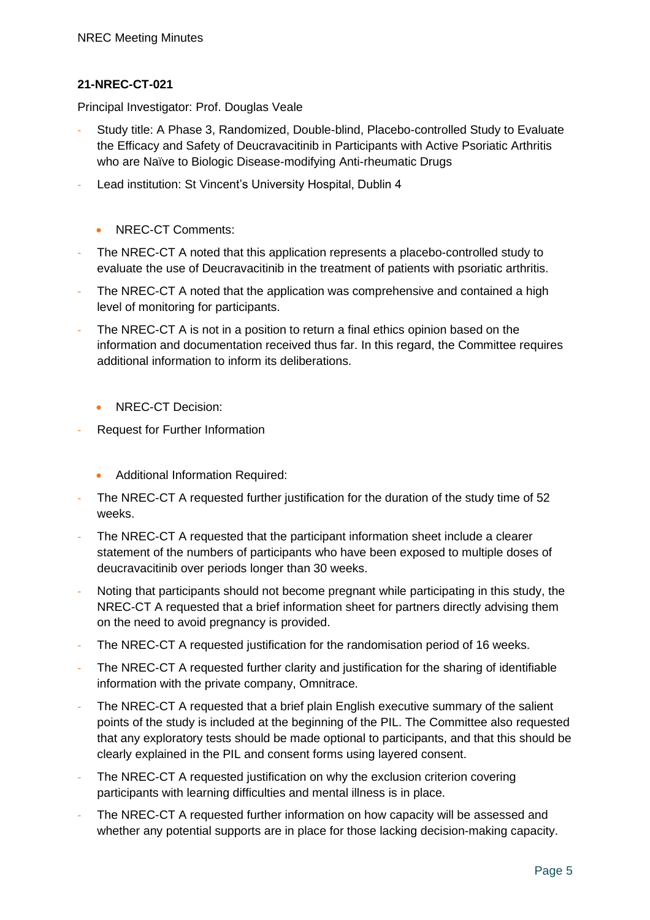Principal Investigator: Prof. Douglas Veale

- Study title: A Phase 3, Randomized, Double-blind, Placebo-controlled Study to Evaluate the Efficacy and Safety of Deucravacitinib in Participants with Active Psoriatic Arthritis who are Naïve to Biologic Disease-modifying Anti-rheumatic Drugs
- Lead institution: St Vincent's University Hospital, Dublin 4
	- NREC-CT Comments:
- The NREC-CT A noted that this application represents a placebo-controlled study to evaluate the use of Deucravacitinib in the treatment of patients with psoriatic arthritis.
- The NREC-CT A noted that the application was comprehensive and contained a high level of monitoring for participants.
- The NREC-CT A is not in a position to return a final ethics opinion based on the information and documentation received thus far. In this regard, the Committee requires additional information to inform its deliberations.
	- NREC-CT Decision:
- Request for Further Information
	- Additional Information Required:
- The NREC-CT A requested further justification for the duration of the study time of 52 weeks.
- The NREC-CT A requested that the participant information sheet include a clearer statement of the numbers of participants who have been exposed to multiple doses of deucravacitinib over periods longer than 30 weeks.
- Noting that participants should not become pregnant while participating in this study, the NREC-CT A requested that a brief information sheet for partners directly advising them on the need to avoid pregnancy is provided.
- The NREC-CT A requested justification for the randomisation period of 16 weeks.
- The NREC-CT A requested further clarity and justification for the sharing of identifiable information with the private company, Omnitrace.
- The NREC-CT A requested that a brief plain English executive summary of the salient points of the study is included at the beginning of the PIL. The Committee also requested that any exploratory tests should be made optional to participants, and that this should be clearly explained in the PIL and consent forms using layered consent.
- The NREC-CT A requested justification on why the exclusion criterion covering participants with learning difficulties and mental illness is in place.
- The NREC-CT A requested further information on how capacity will be assessed and whether any potential supports are in place for those lacking decision-making capacity.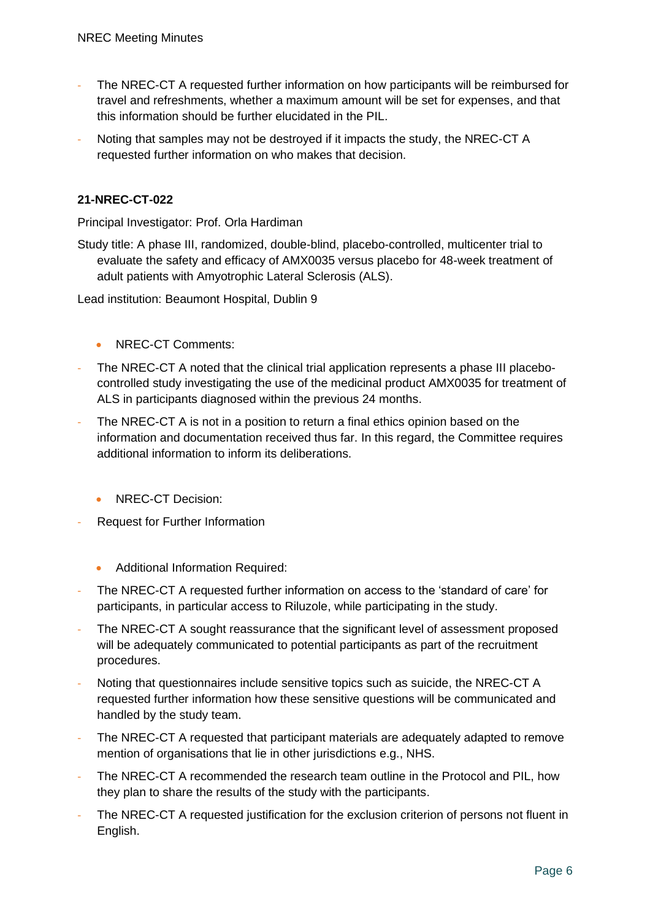- The NREC-CT A requested further information on how participants will be reimbursed for travel and refreshments, whether a maximum amount will be set for expenses, and that this information should be further elucidated in the PIL.
- Noting that samples may not be destroyed if it impacts the study, the NREC-CT A requested further information on who makes that decision.

Principal Investigator: Prof. Orla Hardiman

Study title: A phase III, randomized, double-blind, placebo-controlled, multicenter trial to evaluate the safety and efficacy of AMX0035 versus placebo for 48-week treatment of adult patients with Amyotrophic Lateral Sclerosis (ALS).

Lead institution: Beaumont Hospital, Dublin 9

- NREC-CT Comments:
- The NREC-CT A noted that the clinical trial application represents a phase III placebocontrolled study investigating the use of the medicinal product AMX0035 for treatment of ALS in participants diagnosed within the previous 24 months.
- The NREC-CT A is not in a position to return a final ethics opinion based on the information and documentation received thus far. In this regard, the Committee requires additional information to inform its deliberations.
	- NREC-CT Decision:
- Request for Further Information
	- Additional Information Required:
- The NREC-CT A requested further information on access to the 'standard of care' for participants, in particular access to Riluzole, while participating in the study.
- The NREC-CT A sought reassurance that the significant level of assessment proposed will be adequately communicated to potential participants as part of the recruitment procedures.
- Noting that questionnaires include sensitive topics such as suicide, the NREC-CT A requested further information how these sensitive questions will be communicated and handled by the study team.
- The NREC-CT A requested that participant materials are adequately adapted to remove mention of organisations that lie in other jurisdictions e.g., NHS.
- The NREC-CT A recommended the research team outline in the Protocol and PIL, how they plan to share the results of the study with the participants.
- The NREC-CT A requested justification for the exclusion criterion of persons not fluent in English.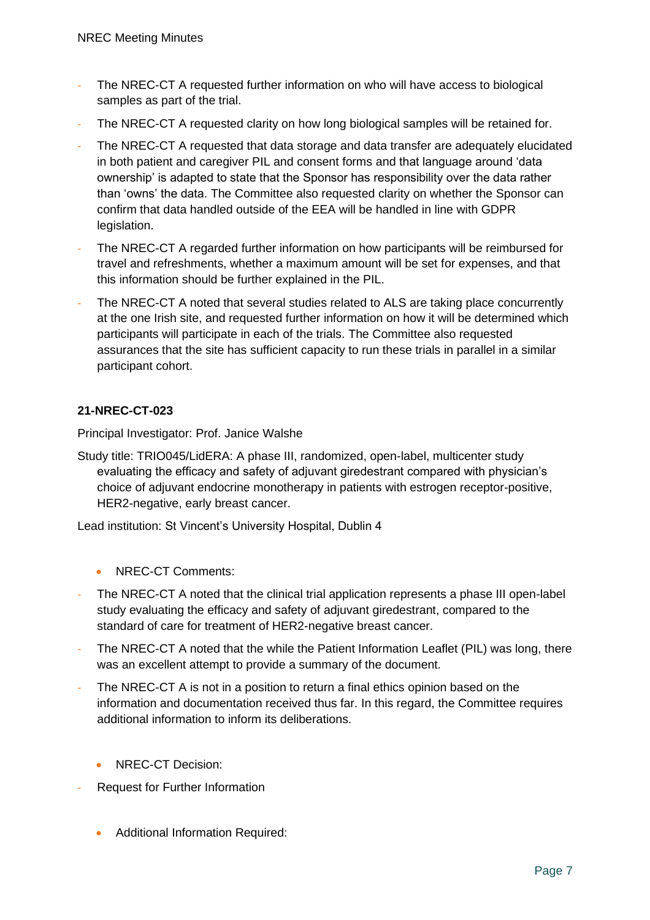- The NREC-CT A requested further information on who will have access to biological samples as part of the trial.
- The NREC-CT A requested clarity on how long biological samples will be retained for.
- The NREC-CT A requested that data storage and data transfer are adequately elucidated in both patient and caregiver PIL and consent forms and that language around 'data ownership' is adapted to state that the Sponsor has responsibility over the data rather than 'owns' the data. The Committee also requested clarity on whether the Sponsor can confirm that data handled outside of the EEA will be handled in line with GDPR legislation.
- The NREC-CT A regarded further information on how participants will be reimbursed for travel and refreshments, whether a maximum amount will be set for expenses, and that this information should be further explained in the PIL.
- The NREC-CT A noted that several studies related to ALS are taking place concurrently at the one Irish site, and requested further information on how it will be determined which participants will participate in each of the trials. The Committee also requested assurances that the site has sufficient capacity to run these trials in parallel in a similar participant cohort.

Principal Investigator: Prof. Janice Walshe

Study title: TRIO045/LidERA: A phase III, randomized, open-label, multicenter study evaluating the efficacy and safety of adjuvant giredestrant compared with physician's choice of adjuvant endocrine monotherapy in patients with estrogen receptor-positive, HER2-negative, early breast cancer.

Lead institution: St Vincent's University Hospital, Dublin 4

- NREC-CT Comments:
- The NREC-CT A noted that the clinical trial application represents a phase III open-label study evaluating the efficacy and safety of adjuvant giredestrant, compared to the standard of care for treatment of HER2-negative breast cancer.
- The NREC-CT A noted that the while the Patient Information Leaflet (PIL) was long, there was an excellent attempt to provide a summary of the document.
- The NREC-CT A is not in a position to return a final ethics opinion based on the information and documentation received thus far. In this regard, the Committee requires additional information to inform its deliberations.
	- NRFC-CT Decision:
- Request for Further Information
	- Additional Information Required: